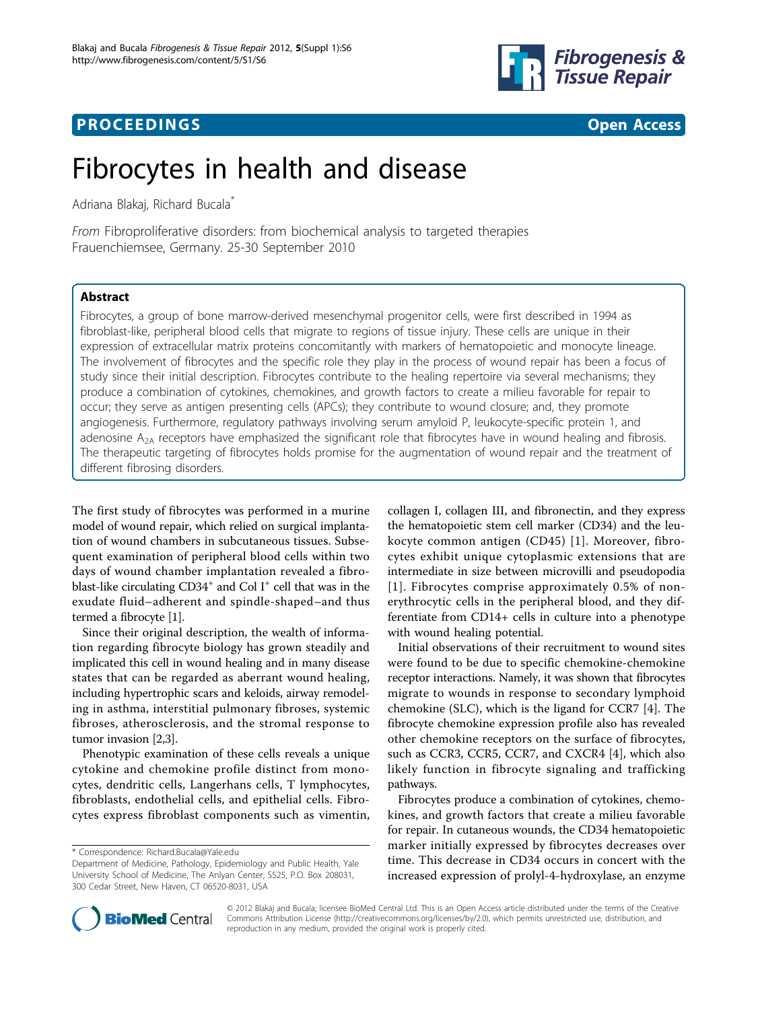



# Fibrocytes in health and disease

Adriana Blakaj, Richard Bucala\*

From Fibroproliferative disorders: from biochemical analysis to targeted therapies Frauenchiemsee, Germany. 25-30 September 2010

## Abstract

Fibrocytes, a group of bone marrow-derived mesenchymal progenitor cells, were first described in 1994 as fibroblast-like, peripheral blood cells that migrate to regions of tissue injury. These cells are unique in their expression of extracellular matrix proteins concomitantly with markers of hematopoietic and monocyte lineage. The involvement of fibrocytes and the specific role they play in the process of wound repair has been a focus of study since their initial description. Fibrocytes contribute to the healing repertoire via several mechanisms; they produce a combination of cytokines, chemokines, and growth factors to create a milieu favorable for repair to occur; they serve as antigen presenting cells (APCs); they contribute to wound closure; and, they promote angiogenesis. Furthermore, regulatory pathways involving serum amyloid P, leukocyte-specific protein 1, and adenosine  $A_{2A}$  receptors have emphasized the significant role that fibrocytes have in wound healing and fibrosis. The therapeutic targeting of fibrocytes holds promise for the augmentation of wound repair and the treatment of different fibrosing disorders.

The first study of fibrocytes was performed in a murine model of wound repair, which relied on surgical implantation of wound chambers in subcutaneous tissues. Subsequent examination of peripheral blood cells within two days of wound chamber implantation revealed a fibroblast-like circulating  $CD34^+$  and Col I<sup>+</sup> cell that was in the exudate fluid–adherent and spindle-shaped–and thus termed a fibrocyte [\[1\]](#page-3-0).

Since their original description, the wealth of information regarding fibrocyte biology has grown steadily and implicated this cell in wound healing and in many disease states that can be regarded as aberrant wound healing, including hypertrophic scars and keloids, airway remodeling in asthma, interstitial pulmonary fibroses, systemic fibroses, atherosclerosis, and the stromal response to tumor invasion [[2,3](#page-3-0)].

Phenotypic examination of these cells reveals a unique cytokine and chemokine profile distinct from monocytes, dendritic cells, Langerhans cells, T lymphocytes, fibroblasts, endothelial cells, and epithelial cells. Fibrocytes express fibroblast components such as vimentin,

collagen I, collagen III, and fibronectin, and they express the hematopoietic stem cell marker (CD34) and the leukocyte common antigen (CD45) [[1\]](#page-3-0). Moreover, fibrocytes exhibit unique cytoplasmic extensions that are intermediate in size between microvilli and pseudopodia [[1\]](#page-3-0). Fibrocytes comprise approximately 0.5% of nonerythrocytic cells in the peripheral blood, and they differentiate from CD14+ cells in culture into a phenotype with wound healing potential.

Initial observations of their recruitment to wound sites were found to be due to specific chemokine-chemokine receptor interactions. Namely, it was shown that fibrocytes migrate to wounds in response to secondary lymphoid chemokine (SLC), which is the ligand for CCR7 [[4\]](#page-3-0). The fibrocyte chemokine expression profile also has revealed other chemokine receptors on the surface of fibrocytes, such as CCR3, CCR5, CCR7, and CXCR4 [[4\]](#page-3-0), which also likely function in fibrocyte signaling and trafficking pathways.

Fibrocytes produce a combination of cytokines, chemokines, and growth factors that create a milieu favorable for repair. In cutaneous wounds, the CD34 hematopoietic marker initially expressed by fibrocytes decreases over time. This decrease in CD34 occurs in concert with the increased expression of prolyl-4-hydroxylase, an enzyme



© 2012 Blakaj and Bucala; licensee BioMed Central Ltd. This is an Open Access article distributed under the terms of the Creative Commons Attribution License [\(http://creativecommons.org/licenses/by/2.0](http://creativecommons.org/licenses/by/2.0)), which permits unrestricted use, distribution, and reproduction in any medium, provided the original work is properly cited.

<sup>\*</sup> Correspondence: [Richard.Bucala@Yale.edu](mailto:Richard.Bucala@Yale.edu)

Department of Medicine, Pathology, Epidemiology and Public Health, Yale University School of Medicine, The Anlyan Center, S525, P.O. Box 208031, 300 Cedar Street, New Haven, CT 06520-8031, USA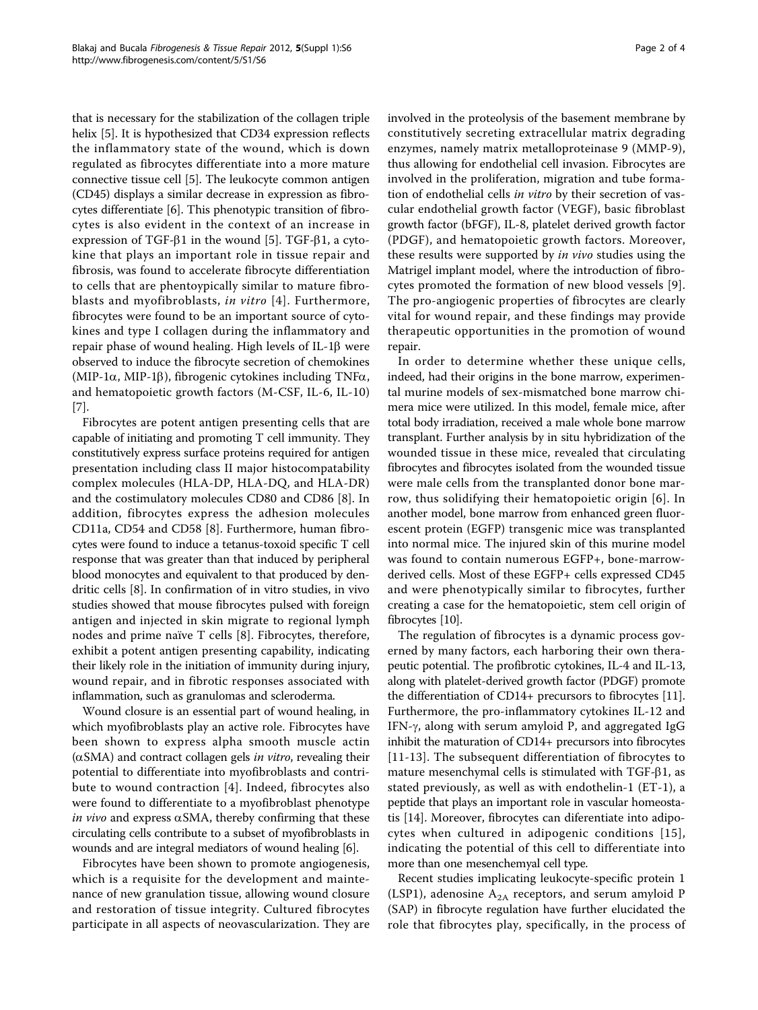that is necessary for the stabilization of the collagen triple helix [\[5](#page-3-0)]. It is hypothesized that CD34 expression reflects the inflammatory state of the wound, which is down regulated as fibrocytes differentiate into a more mature connective tissue cell [\[5](#page-3-0)]. The leukocyte common antigen (CD45) displays a similar decrease in expression as fibrocytes differentiate [\[6\]](#page-3-0). This phenotypic transition of fibrocytes is also evident in the context of an increase in expression of TGF- $\beta$ 1 in the wound [[5](#page-3-0)]. TGF- $\beta$ 1, a cytokine that plays an important role in tissue repair and fibrosis, was found to accelerate fibrocyte differentiation to cells that are phentoypically similar to mature fibroblasts and myofibroblasts, in vitro [[4](#page-3-0)]. Furthermore, fibrocytes were found to be an important source of cytokines and type I collagen during the inflammatory and repair phase of wound healing. High levels of  $IL-1\beta$  were observed to induce the fibrocyte secretion of chemokines (MIP-1 $\alpha$ , MIP-1 $\beta$ ), fibrogenic cytokines including TNF $\alpha$ , and hematopoietic growth factors (M-CSF, IL-6, IL-10) [[7\]](#page-3-0).

Fibrocytes are potent antigen presenting cells that are capable of initiating and promoting T cell immunity. They constitutively express surface proteins required for antigen presentation including class II major histocompatability complex molecules (HLA-DP, HLA-DQ, and HLA-DR) and the costimulatory molecules CD80 and CD86 [[8](#page-3-0)]. In addition, fibrocytes express the adhesion molecules CD11a, CD54 and CD58 [[8\]](#page-3-0). Furthermore, human fibrocytes were found to induce a tetanus-toxoid specific T cell response that was greater than that induced by peripheral blood monocytes and equivalent to that produced by dendritic cells [\[8\]](#page-3-0). In confirmation of in vitro studies, in vivo studies showed that mouse fibrocytes pulsed with foreign antigen and injected in skin migrate to regional lymph nodes and prime naïve T cells [[8\]](#page-3-0). Fibrocytes, therefore, exhibit a potent antigen presenting capability, indicating their likely role in the initiation of immunity during injury, wound repair, and in fibrotic responses associated with inflammation, such as granulomas and scleroderma.

Wound closure is an essential part of wound healing, in which myofibroblasts play an active role. Fibrocytes have been shown to express alpha smooth muscle actin  $(\alpha SMA)$  and contract collagen gels *in vitro*, revealing their potential to differentiate into myofibroblasts and contribute to wound contraction [\[4\]](#page-3-0). Indeed, fibrocytes also were found to differentiate to a myofibroblast phenotype *in vivo* and express  $\alpha$ SMA, thereby confirming that these circulating cells contribute to a subset of myofibroblasts in wounds and are integral mediators of wound healing [\[6\]](#page-3-0).

Fibrocytes have been shown to promote angiogenesis, which is a requisite for the development and maintenance of new granulation tissue, allowing wound closure and restoration of tissue integrity. Cultured fibrocytes participate in all aspects of neovascularization. They are involved in the proteolysis of the basement membrane by constitutively secreting extracellular matrix degrading enzymes, namely matrix metalloproteinase 9 (MMP-9), thus allowing for endothelial cell invasion. Fibrocytes are involved in the proliferation, migration and tube formation of endothelial cells in vitro by their secretion of vascular endothelial growth factor (VEGF), basic fibroblast growth factor (bFGF), IL-8, platelet derived growth factor (PDGF), and hematopoietic growth factors. Moreover, these results were supported by in vivo studies using the Matrigel implant model, where the introduction of fibrocytes promoted the formation of new blood vessels [[9](#page-3-0)]. The pro-angiogenic properties of fibrocytes are clearly

repair. In order to determine whether these unique cells, indeed, had their origins in the bone marrow, experimental murine models of sex-mismatched bone marrow chimera mice were utilized. In this model, female mice, after total body irradiation, received a male whole bone marrow transplant. Further analysis by in situ hybridization of the wounded tissue in these mice, revealed that circulating fibrocytes and fibrocytes isolated from the wounded tissue were male cells from the transplanted donor bone marrow, thus solidifying their hematopoietic origin [[6\]](#page-3-0). In another model, bone marrow from enhanced green fluorescent protein (EGFP) transgenic mice was transplanted into normal mice. The injured skin of this murine model was found to contain numerous EGFP+, bone-marrowderived cells. Most of these EGFP+ cells expressed CD45 and were phenotypically similar to fibrocytes, further creating a case for the hematopoietic, stem cell origin of fibrocytes [[10](#page-3-0)].

vital for wound repair, and these findings may provide therapeutic opportunities in the promotion of wound

The regulation of fibrocytes is a dynamic process governed by many factors, each harboring their own therapeutic potential. The profibrotic cytokines, IL-4 and IL-13, along with platelet-derived growth factor (PDGF) promote the differentiation of CD14+ precursors to fibrocytes [[11](#page-3-0)]. Furthermore, the pro-inflammatory cytokines IL-12 and IFN- $\gamma$ , along with serum amyloid P, and aggregated IgG inhibit the maturation of CD14+ precursors into fibrocytes [[11](#page-3-0)-[13](#page-3-0)]. The subsequent differentiation of fibrocytes to mature mesenchymal cells is stimulated with TGF- $\beta$ 1, as stated previously, as well as with endothelin-1 (ET-1), a peptide that plays an important role in vascular homeostatis [\[14](#page-3-0)]. Moreover, fibrocytes can diferentiate into adipocytes when cultured in adipogenic conditions [[15\]](#page-3-0), indicating the potential of this cell to differentiate into more than one mesenchemyal cell type.

Recent studies implicating leukocyte-specific protein 1 (LSP1), adenosine  $A_{2A}$  receptors, and serum amyloid P (SAP) in fibrocyte regulation have further elucidated the role that fibrocytes play, specifically, in the process of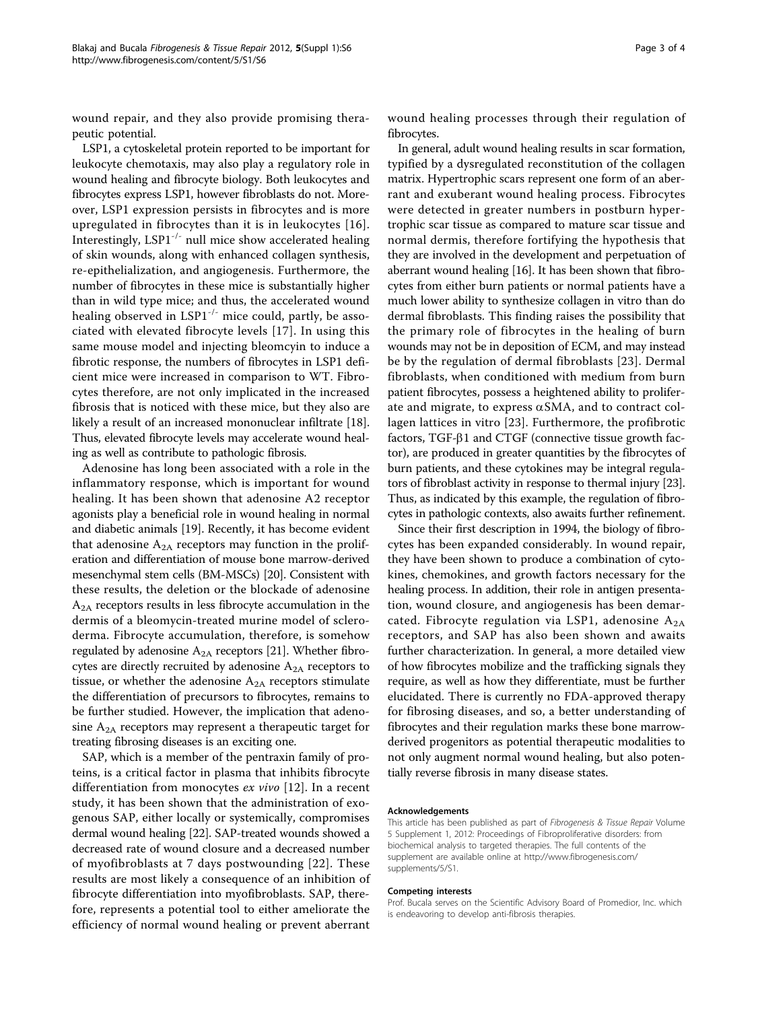wound repair, and they also provide promising therapeutic potential.

LSP1, a cytoskeletal protein reported to be important for leukocyte chemotaxis, may also play a regulatory role in wound healing and fibrocyte biology. Both leukocytes and fibrocytes express LSP1, however fibroblasts do not. Moreover, LSP1 expression persists in fibrocytes and is more upregulated in fibrocytes than it is in leukocytes [[16\]](#page-3-0). Interestingly, LSP1-/- null mice show accelerated healing of skin wounds, along with enhanced collagen synthesis, re-epithelialization, and angiogenesis. Furthermore, the number of fibrocytes in these mice is substantially higher than in wild type mice; and thus, the accelerated wound healing observed in LSP1 $^{-/-}$  mice could, partly, be associated with elevated fibrocyte levels [[17](#page-3-0)]. In using this same mouse model and injecting bleomcyin to induce a fibrotic response, the numbers of fibrocytes in LSP1 deficient mice were increased in comparison to WT. Fibrocytes therefore, are not only implicated in the increased fibrosis that is noticed with these mice, but they also are likely a result of an increased mononuclear infiltrate [\[18](#page-3-0)]. Thus, elevated fibrocyte levels may accelerate wound healing as well as contribute to pathologic fibrosis.

Adenosine has long been associated with a role in the inflammatory response, which is important for wound healing. It has been shown that adenosine A2 receptor agonists play a beneficial role in wound healing in normal and diabetic animals [\[19](#page-3-0)]. Recently, it has become evident that adenosine  $A_{2A}$  receptors may function in the proliferation and differentiation of mouse bone marrow-derived mesenchymal stem cells (BM-MSCs) [\[20\]](#page-3-0). Consistent with these results, the deletion or the blockade of adenosine  $A<sub>2A</sub>$  receptors results in less fibrocyte accumulation in the dermis of a bleomycin-treated murine model of scleroderma. Fibrocyte accumulation, therefore, is somehow regulated by adenosine  $A_{2A}$  receptors [\[21\]](#page-3-0). Whether fibrocytes are directly recruited by adenosine  $A_{2A}$  receptors to tissue, or whether the adenosine  $A_{2A}$  receptors stimulate the differentiation of precursors to fibrocytes, remains to be further studied. However, the implication that adenosine  $A_{2A}$  receptors may represent a therapeutic target for treating fibrosing diseases is an exciting one.

SAP, which is a member of the pentraxin family of proteins, is a critical factor in plasma that inhibits fibrocyte differentiation from monocytes ex vivo [\[12](#page-3-0)]. In a recent study, it has been shown that the administration of exogenous SAP, either locally or systemically, compromises dermal wound healing [\[22](#page-3-0)]. SAP-treated wounds showed a decreased rate of wound closure and a decreased number of myofibroblasts at 7 days postwounding [\[22\]](#page-3-0). These results are most likely a consequence of an inhibition of fibrocyte differentiation into myofibroblasts. SAP, therefore, represents a potential tool to either ameliorate the efficiency of normal wound healing or prevent aberrant wound healing processes through their regulation of fibrocytes.

In general, adult wound healing results in scar formation, typified by a dysregulated reconstitution of the collagen matrix. Hypertrophic scars represent one form of an aberrant and exuberant wound healing process. Fibrocytes were detected in greater numbers in postburn hypertrophic scar tissue as compared to mature scar tissue and normal dermis, therefore fortifying the hypothesis that they are involved in the development and perpetuation of aberrant wound healing [\[16](#page-3-0)]. It has been shown that fibrocytes from either burn patients or normal patients have a much lower ability to synthesize collagen in vitro than do dermal fibroblasts. This finding raises the possibility that the primary role of fibrocytes in the healing of burn wounds may not be in deposition of ECM, and may instead be by the regulation of dermal fibroblasts [\[23](#page-3-0)]. Dermal fibroblasts, when conditioned with medium from burn patient fibrocytes, possess a heightened ability to proliferate and migrate, to express  $\alpha$ SMA, and to contract collagen lattices in vitro [[23\]](#page-3-0). Furthermore, the profibrotic factors,  $TGF- $\beta$ 1 and  $CTGF$  (connective tissue growth fac$ tor), are produced in greater quantities by the fibrocytes of burn patients, and these cytokines may be integral regulators of fibroblast activity in response to thermal injury [[23](#page-3-0)]. Thus, as indicated by this example, the regulation of fibrocytes in pathologic contexts, also awaits further refinement.

Since their first description in 1994, the biology of fibrocytes has been expanded considerably. In wound repair, they have been shown to produce a combination of cytokines, chemokines, and growth factors necessary for the healing process. In addition, their role in antigen presentation, wound closure, and angiogenesis has been demarcated. Fibrocyte regulation via LSP1, adenosine  $A_{2A}$ receptors, and SAP has also been shown and awaits further characterization. In general, a more detailed view of how fibrocytes mobilize and the trafficking signals they require, as well as how they differentiate, must be further elucidated. There is currently no FDA-approved therapy for fibrosing diseases, and so, a better understanding of fibrocytes and their regulation marks these bone marrowderived progenitors as potential therapeutic modalities to not only augment normal wound healing, but also potentially reverse fibrosis in many disease states.

#### Acknowledgements

This article has been published as part of Fibrogenesis & Tissue Repair Volume 5 Supplement 1, 2012: Proceedings of Fibroproliferative disorders: from biochemical analysis to targeted therapies. The full contents of the supplement are available online at [http://www.fibrogenesis.com/](http://www.fibrogenesis.com/supplements/5/S1) [supplements/5/S1.](http://www.fibrogenesis.com/supplements/5/S1)

#### Competing interests

Prof. Bucala serves on the Scientific Advisory Board of Promedior, Inc. which is endeavoring to develop anti-fibrosis therapies.